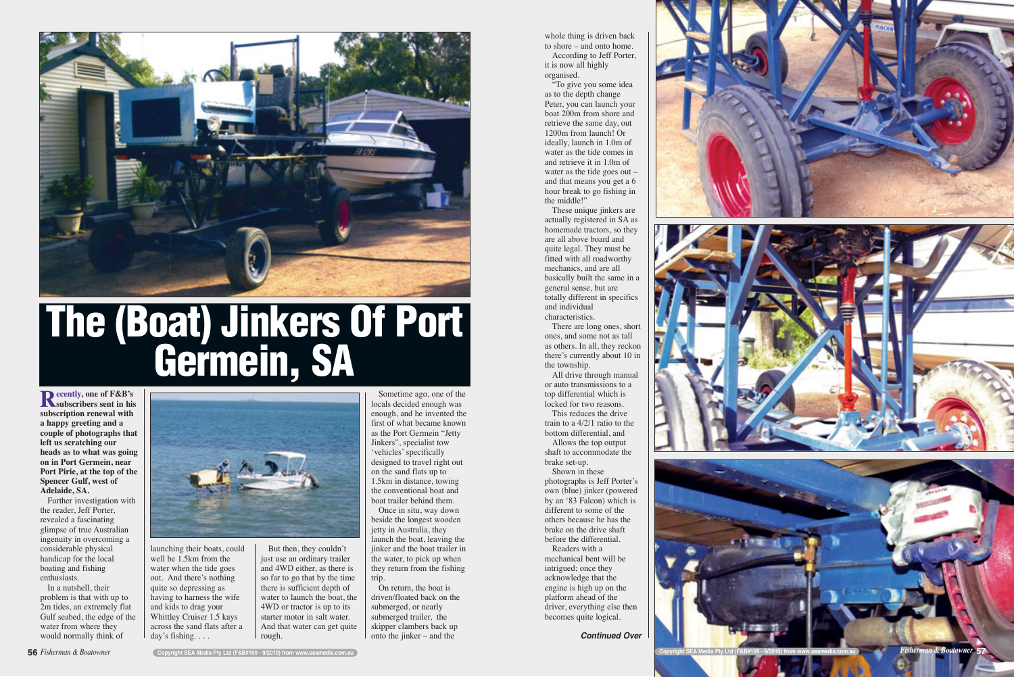whole thing is driven back to shore – and onto home. According to Jeff Porter, it is now all highly organised.

"To give you some idea as to the depth change Peter, you can launch your boat 200m from shore and retrieve the same day, out 1200m from launch! Or ideally, launch in 1.0m of water as the tide comes in and retrieve it in 1.0m of water as the tide goes out – and that means you get a 6 hour break to go fishing in the middle!"

These unique jinkers are actually registered in SA as homemade tractors, so they are all above board and quite legal. They must be fitted with all roadworthy mechanics, and are all basically built the same in a general sense, but are totally different in specifics and individual characteristics.

There are long ones, short ones, and some not as tall as others. In all, they reckon there's currently about 10 in the township.

All drive through manual or auto transmissions to a top differential which is locked for two reasons. This reduces the drive

train to a 4/2/1 ratio to the bottom differential, and Allows the top output

shaft to accommodate the brake set-up.

Shown in these photographs is Jeff Porter's own (blue) jinker (powered by an '83 Falcon) which is different to some of the others because he has the brake on the drive shaft before the differential.

Readers with a mechanical bent will be intrigued; once they acknowledge that the engine is high up on the platform ahead of the driver, everything else then becomes quite logical.

jetty in Australia, they launch the boat, leaving the jinker and the boat trailer in the water, to pick up when they return from the fishing trip.

On return, the boat is driven/floated back on the submerged, or nearly submerged trailer, the skipper clambers back up onto the jinker – and the

**Recently, one of F&B's subscribers sent in his subscription renewal with a happy greeting and a couple of photographs that left us scratching our heads as to what was going on in Port Germein, near Port Pirie, at the top of the Spencer Gulf, west of Adelaide, SA.**

Further investigation with the reader, Jeff Porter, revealed a fascinating glimpse of true Australian ingenuity in overcoming a considerable physical handicap for the local boating and fishing enthusiasts.

In a nutshell, their problem is that with up to 2m tides, an extremely flat Gulf seabed, the edge of the water from where they would normally think of



launching their boats, could well be 1.5<sub>km</sub> from the water when the tide goes out. And there's nothing quite so depressing as having to harness the wife and kids to drag your Whittley Cruiser 1.5 kays across the sand flats after a day's fishing. . . .

But then, they couldn't just use an ordinary trailer and 4WD either, as there is so far to go that by the time there is sufficient depth of water to launch the boat, the 4WD or tractor is up to its starter motor in salt water. And that water can get quite rough.

Sometime ago, one of the locals decided enough was enough, and he invented the first of what became known as the Port Germein "Jetty Jinkers", specialist tow 'vehicles' specifically designed to travel right out on the sand flats up to 1.5km in distance, towing the conventional boat and boat trailer behind them. Once in situ, way down beside the longest wooden



## **The (Boat) Jinkers Of Port Germein, SA**



*Continued Over*